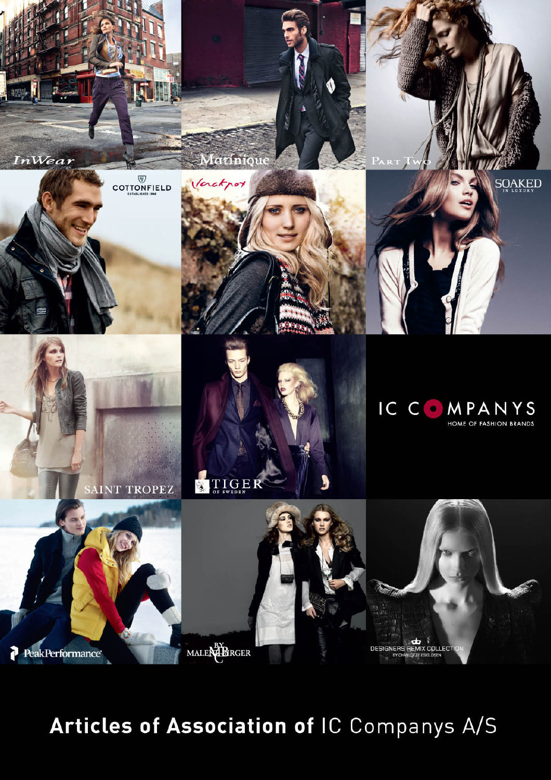

Articles of Association of IC Companys A/S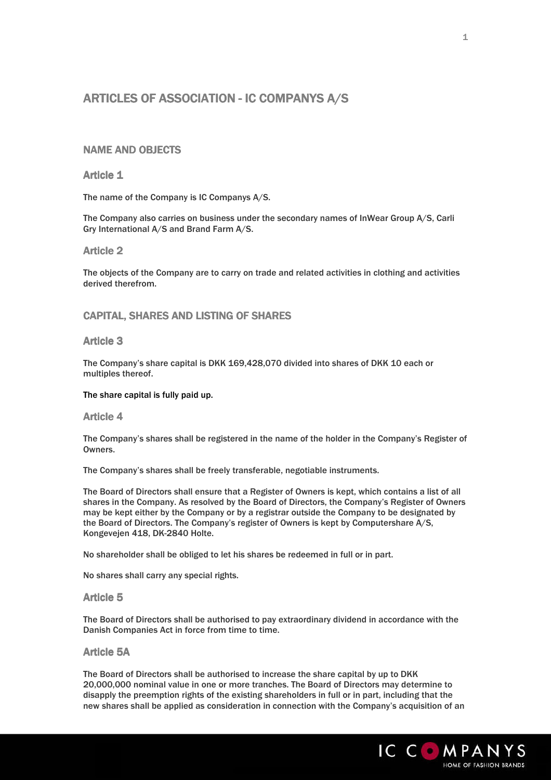# ARTICLES OF ASSOCIATION - IC COMPANYS A/S

# **NAME AND OBJECTS**

# **Article 1**

The name of the Company is IC Companys A/S.

The Company also carries on business under the secondary names of InWear Group A/S, Carli Gry International A/S and Brand Farm A/S.

### **Article 2**

The objects of the Company are to carry on trade and related activities in clothing and activities derived therefrom.

# CAPITAL, SHARES AND LISTING OF SHARES

## **Article 3**

The Company's share capital is DKK 169,428,070 divided into shares of DKK 10 each or multiples thereof.

#### The share capital is fully paid up.

#### **Article 4**

The Company's shares shall be registered in the name of the holder in the Company's Register of Owners.

The Company's shares shall be freely transferable, negotiable instruments.

The Board of Directors shall ensure that a Register of Owners is kept, which contains a list of all shares in the Company. As resolved by the Board of Directors, the Company's Register of Owners may be kept either by the Company or by a registrar outside the Company to be designated by the Board of Directors. The Company's register of Owners is kept by Computershare A/S, Kongevejen 418, DK-2840 Holte.

No shareholder shall be obliged to let his shares be redeemed in full or in part.

No shares shall carry any special rights.

### Article 5

The Board of Directors shall be authorised to pay extraordinary dividend in accordance with the Danish Companies Act in force from time to time.

### **Article 5A**

The Board of Directors shall be authorised to increase the share capital by up to DKK 20,000,000 nominal value in one or more tranches. The Board of Directors may determine to disapply the preemption rights of the existing shareholders in full or in part, including that the new shares shall be applied as consideration in connection with the Company's acquisition of an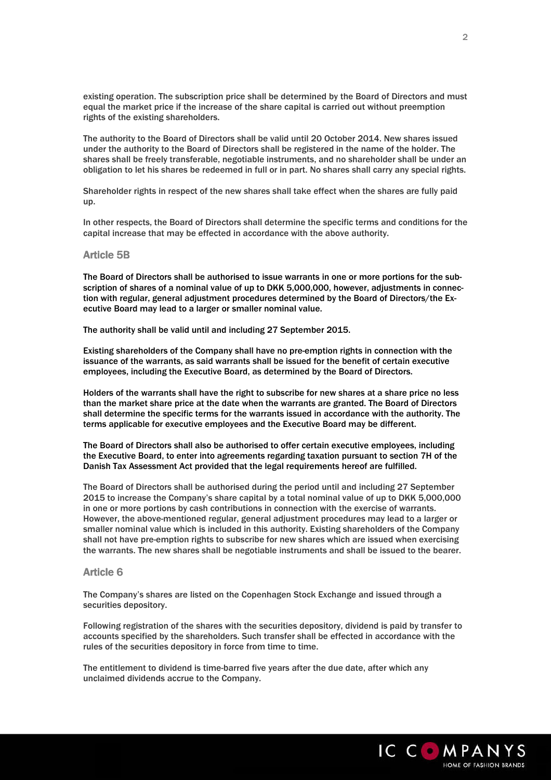existing operation. The subscription price shall be determined by the Board of Directors and must equal the market price if the increase of the share capital is carried out without preemption rights of the existing shareholders.

The authority to the Board of Directors shall be valid until 20 October 2014. New shares issued under the authority to the Board of Directors shall be registered in the name of the holder. The shares shall be freely transferable, negotiable instruments, and no shareholder shall be under an obligation to let his shares be redeemed in full or in part. No shares shall carry any special rights.

Shareholder rights in respect of the new shares shall take effect when the shares are fully paid up.

In other respects, the Board of Directors shall determine the specific terms and conditions for the capital increase that may be effected in accordance with the above authority.

#### **Article 5B**

The Board of Directors shall be authorised to issue warrants in one or more portions for the subscription of shares of a nominal value of up to DKK 5,000,000, however, adjustments in connection with regular, general adjustment procedures determined by the Board of Directors/the Executive Board may lead to a larger or smaller nominal value.

The authority shall be valid until and including 27 September 2015.

Existing shareholders of the Company shall have no pre-emption rights in connection with the issuance of the warrants, as said warrants shall be issued for the benefit of certain executive employees, including the Executive Board, as determined by the Board of Directors.

Holders of the warrants shall have the right to subscribe for new shares at a share price no less than the market share price at the date when the warrants are granted. The Board of Directors shall determine the specific terms for the warrants issued in accordance with the authority. The terms applicable for executive employees and the Executive Board may be different.

The Board of Directors shall also be authorised to offer certain executive employees, including the Executive Board, to enter into agreements regarding taxation pursuant to section 7H of the Danish Tax Assessment Act provided that the legal requirements hereof are fulfilled.

The Board of Directors shall be authorised during the period until and including 27 September 2015 to increase the Company's share capital by a total nominal value of up to DKK 5,000,000 in one or more portions by cash contributions in connection with the exercise of warrants. However, the above-mentioned regular, general adjustment procedures may lead to a larger or smaller nominal value which is included in this authority. Existing shareholders of the Company shall not have pre-emption rights to subscribe for new shares which are issued when exercising the warrants. The new shares shall be negotiable instruments and shall be issued to the bearer.

#### Article 6 6

The Company's shares are listed on the Copenhagen Stock Exchange and issued through a securities depository.

Following registration of the shares with the securities depository, dividend is paid by transfer to accounts specified by the shareholders. Such transfer shall be effected in accordance with the rules of the securities depository in force from time to time.

The entitlement to dividend is time-barred five years after the due date, after which any unclaimed dividends accrue to the Company.

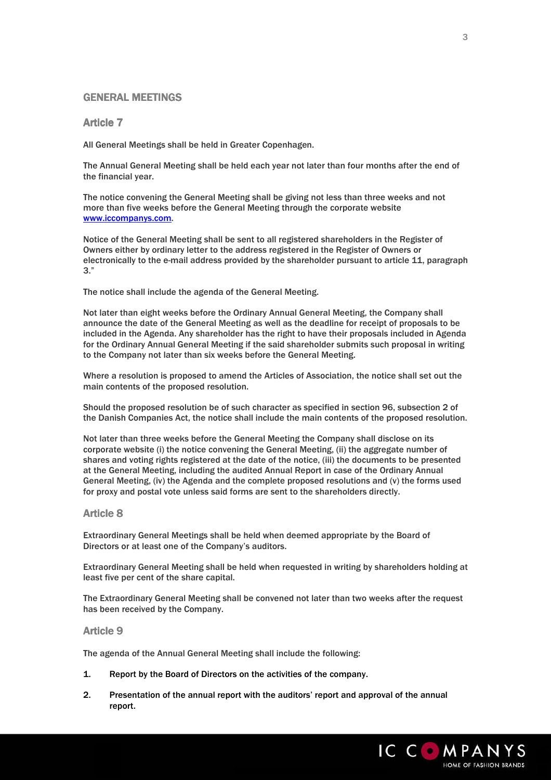# **GENERAL MEETINGS**

# **Article 7**

All General Meetings shall be held in Greater Copenhagen.

The Annual General Meeting shall be held each year not later than four months after the end of the financial year.

The notice convening the General Meeting shall be giving not less than three weeks and not more than five weeks before the General Meeting through the corporate website www.iccompanys.com.

Notice of the General Meeting shall be sent to all registered shareholders in the Register of Owners either by ordinary letter to the address registered in the Register of Owners or electronically to the e-mail address provided by the shareholder pursuant to article 11, paragraph 3."

The notice shall include the agenda of the General Meeting.

Not later than eight weeks before the Ordinary Annual General Meeting, the Company shall announce the date of the General Meeting as well as the deadline for receipt of proposals to be included in the Agenda. Any shareholder has the right to have their proposals included in Agenda for the Ordinary Annual General Meeting if the said shareholder submits such proposal in writing to the Company not later than six weeks before the General Meeting.

Where a resolution is proposed to amend the Articles of Association, the notice shall set out the main contents of the proposed resolution.

Should the proposed resolution be of such character as specified in section 96, subsection 2 of the Danish Companies Act, the notice shall include the main contents of the proposed resolution.

Not later than three weeks before the General Meeting the Company shall disclose on its corporate website (i) the notice convening the General Meeting, (ii) the aggregate number of shares and voting rights registered at the date of the notice, (iii) the documents to be presented at the General Meeting, including the audited Annual Report in case of the Ordinary Annual General Meeting, (iv) the Agenda and the complete proposed resolutions and (v) the forms used for proxy and postal vote unless said forms are sent to the shareholders directly.

# **Article 8**

Extraordinary General Meetings shall be held when deemed appropriate by the Board of Directors or at least one of the Company's auditors.

Extraordinary General Meeting shall be held when requested in writing by shareholders holding at least five per cent of the share capital.

The Extraordinary General Meeting shall be convened not later than two weeks after the request has been received by the Company.

### **Article 9**

The agenda of the Annual General Meeting shall include the following:

- 1. Report by the Board of Directors on the activities of the company.
- 2. Presentation of the annual report with the auditors' report and approval of the annual report.

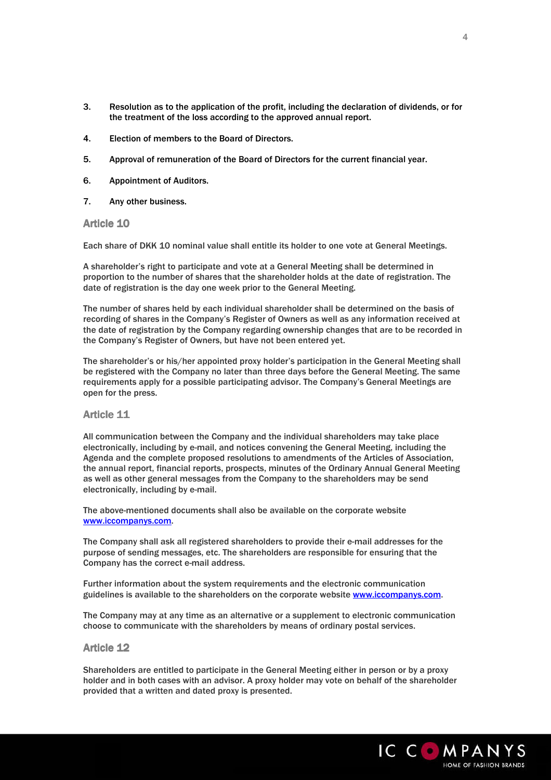- 3. Resolution as to the application of the profit, including the declaration of dividends, or for the treatment of the loss according to the approved annual report.
- 4. Election of members to the Board of Directors.
- 5. Approval of remuneration of the Board of Directors for the current financial year.
- 6. Appointment of Auditors.
- 7. Any other business.

**Article 10** 

Each share of DKK 10 nominal value shall entitle its holder to one vote at General Meetings.

A shareholder's right to participate and vote at a General Meeting shall be determined in proportion to the number of shares that the shareholder holds at the date of registration. The date of registration is the day one week prior to the General Meeting.

The number of shares held by each individual shareholder shall be determined on the basis of recording of shares in the Company's Register of Owners as well as any information received at the date of registration by the Company regarding ownership changes that are to be recorded in the Company's Register of Owners, but have not been entered yet.

The shareholder's or his/her appointed proxy holder's participation in the General Meeting shall be registered with the Company no later than three days before the General Meeting. The same requirements apply for a possible participating advisor. The Company's General Meetings are open for the press.

### Article 11

All communication between the Company and the individual shareholders may take place electronically, including by e-mail, and notices convening the General Meeting, including the Agenda and the complete proposed resolutions to amendments of the Articles of Association, the annual report, financial reports, prospects, minutes of the Ordinary Annual General Meeting as well as other general messages from the Company to the shareholders may be send electronically, including by e-mail.

The above-mentioned documents shall also be available on the corporate website www.iccompanys.com.

The Company shall ask all registered shareholders to provide their e-mail addresses for the purpose of sending messages, etc. The shareholders are responsible for ensuring that the Company has the correct e-mail address.

Further information about the system requirements and the electronic communication guidelines is available to the shareholders on the corporate website www.iccompanys.com.

The Company may at any time as an alternative or a supplement to electronic communication choose to communicate with the shareholders by means of ordinary postal services.

#### **Article 12**

Shareholders are entitled to participate in the General Meeting either in person or by a proxy holder and in both cases with an advisor. A proxy holder may vote on behalf of the shareholder provided that a written and dated proxy is presented.

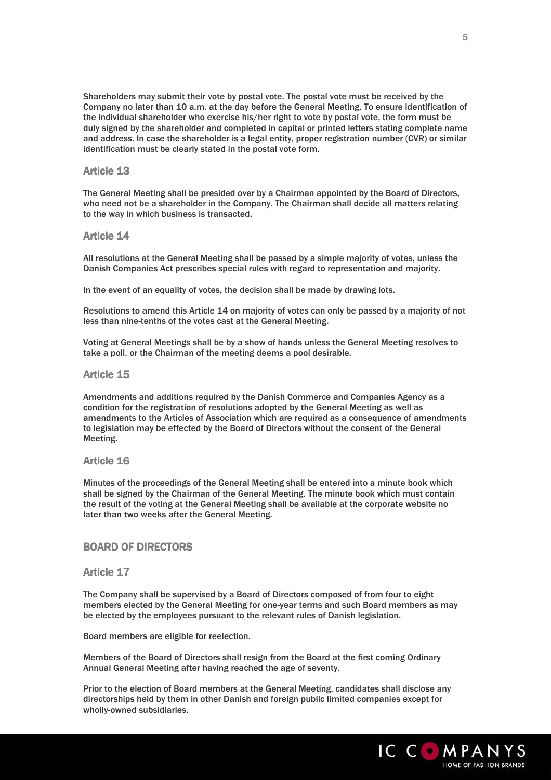Shareholders may submit their vote by postal vote. The postal vote must be received by the Company no later than 10 a.m. at the day before the General Meeting. To ensure identification of the individual shareholder who exercise his/her right to vote by postal vote, the form must be duly signed by the shareholder and completed in capital or printed letters stating complete name and address. In case the shareholder is a legal entity, proper registration number (CVR) or similar identification must be clearly stated in the postal vote form.

# Article 13

The General Meeting shall be presided over by a Chairman appointed by the Board of Directors, who need not be a shareholder in the Company. The Chairman shall decide all matters relating to the way in which business is transacted.

### Article 14

All resolutions at the General Meeting shall be passed by a simple majority of votes, unless the Danish Companies Act prescribes special rules with regard to representation and majority.

In the event of an equality of votes, the decision shall be made by drawing lots.

Resolutions to amend this Article 14 on majority of votes can only be passed by a majority of not less than nine-tenths of the votes cast at the General Meeting.

Voting at General Meetings shall be by a show of hands unless the General Meeting resolves to take a poll, or the Chairman of the meeting deems a pool desirable.

#### Article 15

Amendments and additions required by the Danish Commerce and Companies Agency as a condition for the registration of resolutions adopted by the General Meeting as well as amendments to the Articles of Association which are required as a consequence of amendments to legislation may be effected by the Board of Directors without the consent of the General Meeting.

### Article 16

Minutes of the proceedings of the General Meeting shall be entered into a minute book which shall be signed by the Chairman of the General Meeting. The minute book which must contain the result of the voting at the General Meeting shall be available at the corporate website no later than two weeks after the General Meeting.

### BOARD OF DIRECTORS

#### Article 17

The Company shall be supervised by a Board of Directors composed of from four to eight members elected by the General Meeting for one-year terms and such Board members as may be elected by the employees pursuant to the relevant rules of Danish legislation.

Board members are eligible for reelection.

Members of the Board of Directors shall resign from the Board at the first coming Ordinary Annual General Meeting after having reached the age of seventy.

Prior to the election of Board members at the General Meeting, candidates shall disclose any directorships held by them in other Danish and foreign public limited companies except for wholly-owned subsidiaries.

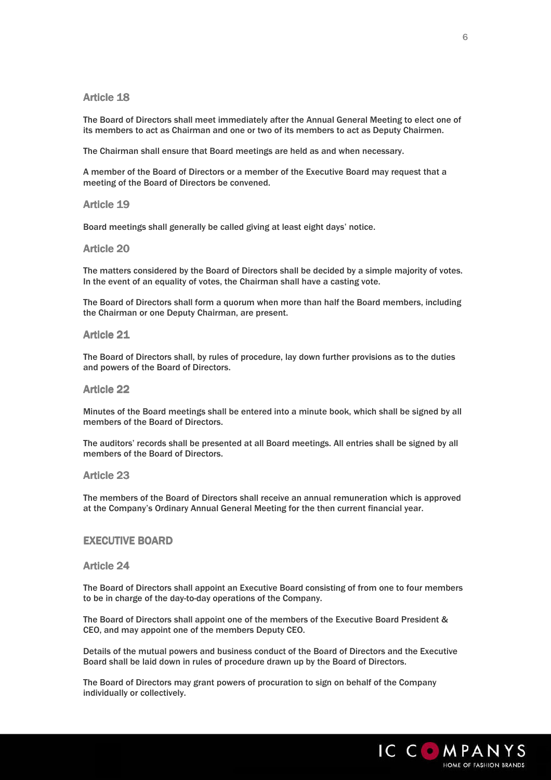# **Article 18**

The Board of Directors shall meet immediately after the Annual General Meeting to elect one of its members to act as Chairman and one or two of its members to act as Deputy Chairmen.

The Chairman shall ensure that Board meetings are held as and when necessary.

A member of the Board of Directors or a member of the Executive Board may request that a meeting of the Board of Directors be convened.

#### Article 19

Board meetings shall generally be called giving at least eight days' notice.

#### Article 20

The matters considered by the Board of Directors shall be decided by a simple majority of votes. In the event of an equality of votes, the Chairman shall have a casting vote.

The Board of Directors shall form a quorum when more than half the Board members, including the Chairman or one Deputy Chairman, are present.

#### Article 21

The Board of Directors shall, by rules of procedure, lay down further provisions as to the duties and powers of the Board of Directors.

### Article 22

Minutes of the Board meetings shall be entered into a minute book, which shall be signed by all members of the Board of Directors.

The auditors' records shall be presented at all Board meetings. All entries shall be signed by all members of the Board of Directors.

### **Article 23**

The members of the Board of Directors shall receive an annual remuneration which is approved at the Company's Ordinary Annual General Meeting for the then current financial year.

#### EXECUTIVE BOARD

# Article 24

The Board of Directors shall appoint an Executive Board consisting of from one to four members to be in charge of the day-to-day operations of the Company.

The Board of Directors shall appoint one of the members of the Executive Board President & CEO, and may appoint one of the members Deputy CEO.

Details of the mutual powers and business conduct of the Board of Directors and the Executive Board shall be laid down in rules of procedure drawn up by the Board of Directors.

The Board of Directors may grant powers of procuration to sign on behalf of the Company individually or collectively.

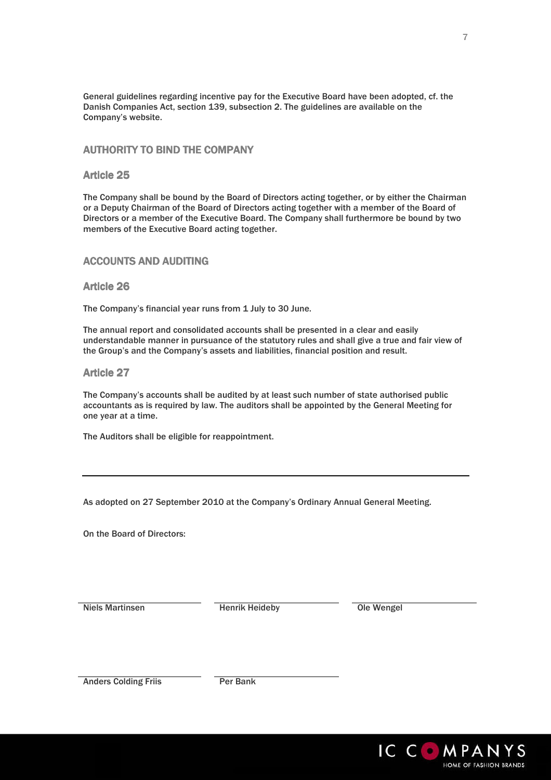General guidelines regarding incentive pay for the Executive Board have been adopted, cf. the Danish Companies Act, section 139, subsection 2. The guidelines are available on the Company's website.

# **AUTHORITY TO BIND THE COMPANY**

# Article 25

The Company shall be bound by the Board of Directors acting together, or by either the Chairman or a Deputy Chairman of the Board of Directors acting together with a member of the Board of Directors or a member of the Executive Board. The Company shall furthermore be bound by two members of the Executive Board acting together.

# **ACCOUNTS AND AUDITING**

### **Article 26**

The Company's financial year runs from 1 July to 30 June.

The annual report and consolidated accounts shall be presented in a clear and easily understandable manner in pursuance of the statutory rules and shall give a true and fair view of the Group's and the Company's assets and liabilities, financial position and result.

### **Article 27**

The Company's accounts shall be audited by at least such number of state authorised public accountants as is required by law. The auditors shall be appointed by the General Meeting for one year at a time.

The Auditors shall be eligible for reappointment.

As adopted on 27 September 2010 at the Company's Ordinary Annual General Meeting.

On the Board of Directors:

Niels Martinsen Henrik Heideby Ole Wengel

Anders Colding Friis Per Bank